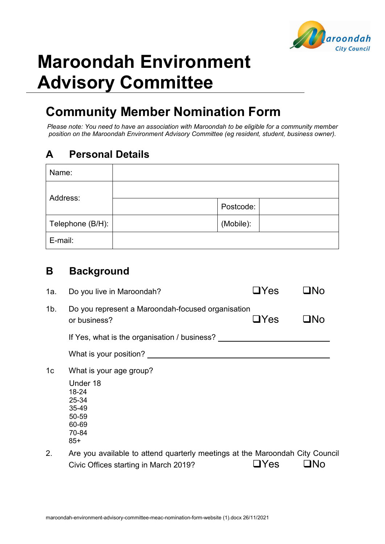

# **Maroondah Environment Advisory Committee**

## **Community Member Nomination Form**

*Please note: You need to have an association with Maroondah to be eligible for a community member position on the Maroondah Environment Advisory Committee (eg resident, student, business owner).*

### **A Personal Details**

| Name:            |           |
|------------------|-----------|
| Address:         |           |
|                  | Postcode: |
| Telephone (B/H): | (Mobile): |
| E-mail:          |           |

#### **B Background**

| 1a.            | Do you live in Maroondah?                                                                                             | $\Box$ Yes |     |  |
|----------------|-----------------------------------------------------------------------------------------------------------------------|------------|-----|--|
| 1b.            | Do you represent a Maroondah-focused organisation<br>or business?                                                     | $\Box$ Yes | □No |  |
|                | If Yes, what is the organisation / business?                                                                          |            |     |  |
|                | What is your position?                                                                                                |            |     |  |
| 1 <sub>c</sub> | What is your age group?                                                                                               |            |     |  |
|                | Under 18<br>18-24<br>25-34<br>35-49<br>50-59<br>60-69<br>70-84<br>$85+$                                               |            |     |  |
| 2.             | Are you available to attend quarterly meetings at the Maroondah City Council<br>Civic Offices starting in March 2019? | Yes        | ∣N∩ |  |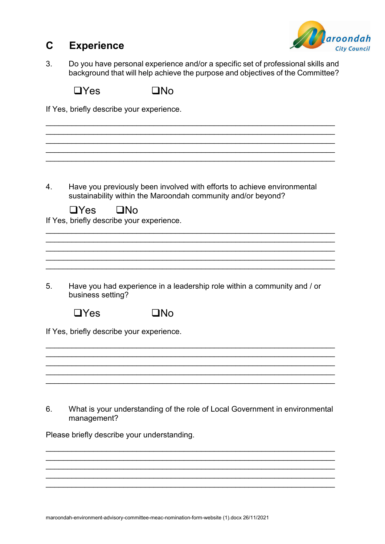

#### **C Experience**

3. Do you have personal experience and/or a specific set of professional skills and background that will help achieve the purpose and objectives of the Committee?

 $\Box$ Yes  $\Box$ No

If Yes, briefly describe your experience.

\_\_\_\_\_\_\_\_\_\_\_\_\_\_\_\_\_\_\_\_\_\_\_\_\_\_\_\_\_\_\_\_\_\_\_\_\_\_\_\_\_\_\_\_\_\_\_\_\_\_\_\_\_\_\_\_\_\_\_\_\_\_\_\_\_\_\_ \_\_\_\_\_\_\_\_\_\_\_\_\_\_\_\_\_\_\_\_\_\_\_\_\_\_\_\_\_\_\_\_\_\_\_\_\_\_\_\_\_\_\_\_\_\_\_\_\_\_\_\_\_\_\_\_\_\_\_\_\_\_\_\_\_\_\_  $\mathcal{L}_\mathcal{L} = \{ \mathcal{L}_\mathcal{L} = \{ \mathcal{L}_\mathcal{L} = \{ \mathcal{L}_\mathcal{L} = \{ \mathcal{L}_\mathcal{L} = \{ \mathcal{L}_\mathcal{L} = \{ \mathcal{L}_\mathcal{L} = \{ \mathcal{L}_\mathcal{L} = \{ \mathcal{L}_\mathcal{L} = \{ \mathcal{L}_\mathcal{L} = \{ \mathcal{L}_\mathcal{L} = \{ \mathcal{L}_\mathcal{L} = \{ \mathcal{L}_\mathcal{L} = \{ \mathcal{L}_\mathcal{L} = \{ \mathcal{L}_\mathcal{$ \_\_\_\_\_\_\_\_\_\_\_\_\_\_\_\_\_\_\_\_\_\_\_\_\_\_\_\_\_\_\_\_\_\_\_\_\_\_\_\_\_\_\_\_\_\_\_\_\_\_\_\_\_\_\_\_\_\_\_\_\_\_\_\_\_\_\_ 4. Have you previously been involved with efforts to achieve environmental sustainability within the Maroondah community and/or beyond?  $\Box$ Yes  $\Box$ No If Yes, briefly describe your experience. \_\_\_\_\_\_\_\_\_\_\_\_\_\_\_\_\_\_\_\_\_\_\_\_\_\_\_\_\_\_\_\_\_\_\_\_\_\_\_\_\_\_\_\_\_\_\_\_\_\_\_\_\_\_\_\_\_\_\_\_\_\_\_\_\_\_\_ \_\_\_\_\_\_\_\_\_\_\_\_\_\_\_\_\_\_\_\_\_\_\_\_\_\_\_\_\_\_\_\_\_\_\_\_\_\_\_\_\_\_\_\_\_\_\_\_\_\_\_\_\_\_\_\_\_\_\_\_\_\_\_\_\_\_\_ \_\_\_\_\_\_\_\_\_\_\_\_\_\_\_\_\_\_\_\_\_\_\_\_\_\_\_\_\_\_\_\_\_\_\_\_\_\_\_\_\_\_\_\_\_\_\_\_\_\_\_\_\_\_\_\_\_\_\_\_\_\_\_\_\_\_\_ \_\_\_\_\_\_\_\_\_\_\_\_\_\_\_\_\_\_\_\_\_\_\_\_\_\_\_\_\_\_\_\_\_\_\_\_\_\_\_\_\_\_\_\_\_\_\_\_\_\_\_\_\_\_\_\_\_\_\_\_\_\_\_\_\_\_\_ \_\_\_\_\_\_\_\_\_\_\_\_\_\_\_\_\_\_\_\_\_\_\_\_\_\_\_\_\_\_\_\_\_\_\_\_\_\_\_\_\_\_\_\_\_\_\_\_\_\_\_\_\_\_\_\_\_\_\_\_\_\_\_\_\_\_\_ 5. Have you had experience in a leadership role within a community and / or business setting?  $\Box$ Yes  $\Box$ No If Yes, briefly describe your experience. \_\_\_\_\_\_\_\_\_\_\_\_\_\_\_\_\_\_\_\_\_\_\_\_\_\_\_\_\_\_\_\_\_\_\_\_\_\_\_\_\_\_\_\_\_\_\_\_\_\_\_\_\_\_\_\_\_\_\_\_\_\_\_\_\_\_\_ \_\_\_\_\_\_\_\_\_\_\_\_\_\_\_\_\_\_\_\_\_\_\_\_\_\_\_\_\_\_\_\_\_\_\_\_\_\_\_\_\_\_\_\_\_\_\_\_\_\_\_\_\_\_\_\_\_\_\_\_\_\_\_\_\_\_\_ \_\_\_\_\_\_\_\_\_\_\_\_\_\_\_\_\_\_\_\_\_\_\_\_\_\_\_\_\_\_\_\_\_\_\_\_\_\_\_\_\_\_\_\_\_\_\_\_\_\_\_\_\_\_\_\_\_\_\_\_\_\_\_\_\_\_\_ \_\_\_\_\_\_\_\_\_\_\_\_\_\_\_\_\_\_\_\_\_\_\_\_\_\_\_\_\_\_\_\_\_\_\_\_\_\_\_\_\_\_\_\_\_\_\_\_\_\_\_\_\_\_\_\_\_\_\_\_\_\_\_\_\_\_\_ 6. What is your understanding of the role of Local Government in environmental management? Please briefly describe your understanding. \_\_\_\_\_\_\_\_\_\_\_\_\_\_\_\_\_\_\_\_\_\_\_\_\_\_\_\_\_\_\_\_\_\_\_\_\_\_\_\_\_\_\_\_\_\_\_\_\_\_\_\_\_\_\_\_\_\_\_\_\_\_\_\_\_\_\_

\_\_\_\_\_\_\_\_\_\_\_\_\_\_\_\_\_\_\_\_\_\_\_\_\_\_\_\_\_\_\_\_\_\_\_\_\_\_\_\_\_\_\_\_\_\_\_\_\_\_\_\_\_\_\_\_\_\_\_\_\_\_\_\_\_\_\_ \_\_\_\_\_\_\_\_\_\_\_\_\_\_\_\_\_\_\_\_\_\_\_\_\_\_\_\_\_\_\_\_\_\_\_\_\_\_\_\_\_\_\_\_\_\_\_\_\_\_\_\_\_\_\_\_\_\_\_\_\_\_\_\_\_\_\_